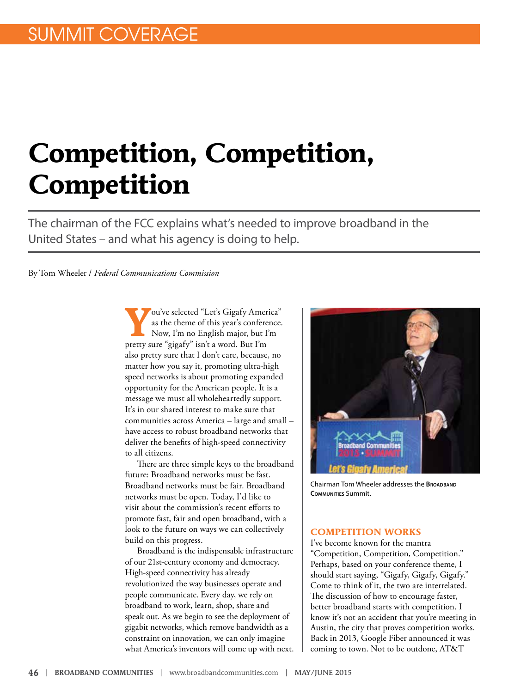# **Competition, Competition, Competition**

The chairman of the FCC explains what's needed to improve broadband in the United States – and what his agency is doing to help.

By Tom Wheeler / *Federal Communications Commission*

**Y**ou've selected "Let's Gigafy America" as the theme of this year's conference. Now, I'm no English major, but I'm pretty sure "gigafy" isn't a word. But I'm also pretty sure that I don't care, because, no matter how you say it, promoting ultra-high speed networks is about promoting expanded opportunity for the American people. It is a message we must all wholeheartedly support. It's in our shared interest to make sure that communities across America – large and small – have access to robust broadband networks that deliver the benefits of high-speed connectivity to all citizens.

There are three simple keys to the broadband future: Broadband networks must be fast. Broadband networks must be fair. Broadband networks must be open. Today, I'd like to visit about the commission's recent efforts to promote fast, fair and open broadband, with a look to the future on ways we can collectively build on this progress.

Broadband is the indispensable infrastructure of our 21st-century economy and democracy. High-speed connectivity has already revolutionized the way businesses operate and people communicate. Every day, we rely on broadband to work, learn, shop, share and speak out. As we begin to see the deployment of gigabit networks, which remove bandwidth as a constraint on innovation, we can only imagine what America's inventors will come up with next.



Chairman Tom Wheeler addresses the **Broadband Communities** Summit.

#### **COMPETITION WORKS**

I've become known for the mantra "Competition, Competition, Competition." Perhaps, based on your conference theme, I should start saying, "Gigafy, Gigafy, Gigafy." Come to think of it, the two are interrelated. The discussion of how to encourage faster, better broadband starts with competition. I know it's not an accident that you're meeting in Austin, the city that proves competition works. Back in 2013, Google Fiber announced it was coming to town. Not to be outdone, AT&T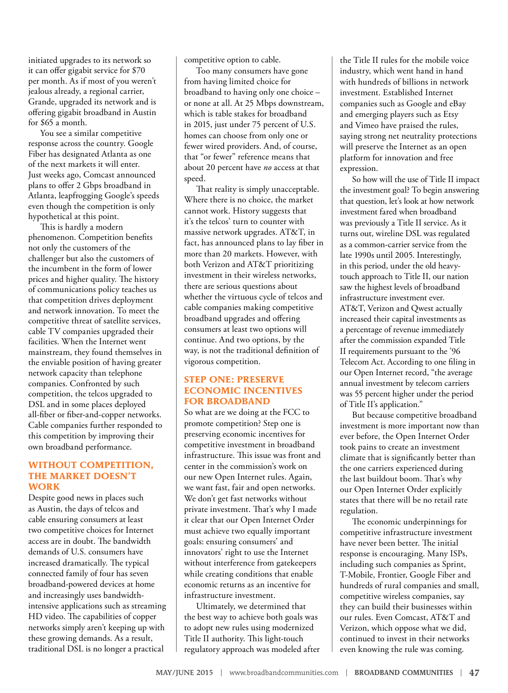initiated upgrades to its network so it can offer gigabit service for \$70 per month. As if most of you weren't jealous already, a regional carrier, Grande, upgraded its network and is offering gigabit broadband in Austin for \$65 a month.

You see a similar competitive response across the country. Google Fiber has designated Atlanta as one of the next markets it will enter. Just weeks ago, Comcast announced plans to offer 2 Gbps broadband in Atlanta, leapfrogging Google's speeds even though the competition is only hypothetical at this point.

This is hardly a modern phenomenon. Competition benefits not only the customers of the challenger but also the customers of the incumbent in the form of lower prices and higher quality. The history of communications policy teaches us that competition drives deployment and network innovation. To meet the competitive threat of satellite services, cable TV companies upgraded their facilities. When the Internet went mainstream, they found themselves in the enviable position of having greater network capacity than telephone companies. Confronted by such competition, the telcos upgraded to DSL and in some places deployed all-fiber or fiber-and-copper networks. Cable companies further responded to this competition by improving their own broadband performance.

#### **WITHOUT COMPETITION, THE MARKET DOESN'T WORK**

Despite good news in places such as Austin, the days of telcos and cable ensuring consumers at least two competitive choices for Internet access are in doubt. The bandwidth demands of U.S. consumers have increased dramatically. The typical connected family of four has seven broadband-powered devices at home and increasingly uses bandwidthintensive applications such as streaming HD video. The capabilities of copper networks simply aren't keeping up with these growing demands. As a result, traditional DSL is no longer a practical

competitive option to cable.

Too many consumers have gone from having limited choice for broadband to having only one choice – or none at all. At 25 Mbps downstream, which is table stakes for broadband in 2015, just under 75 percent of U.S. homes can choose from only one or fewer wired providers. And, of course, that "or fewer" reference means that about 20 percent have *no* access at that speed.

That reality is simply unacceptable. Where there is no choice, the market cannot work. History suggests that it's the telcos' turn to counter with massive network upgrades. AT&T, in fact, has announced plans to lay fiber in more than 20 markets. However, with both Verizon and AT&T prioritizing investment in their wireless networks, there are serious questions about whether the virtuous cycle of telcos and cable companies making competitive broadband upgrades and offering consumers at least two options will continue. And two options, by the way, is not the traditional definition of vigorous competition.

#### **STEP ONE: PRESERVE ECONOMIC INCENTIVES FOR BROADBAND**

So what are we doing at the FCC to promote competition? Step one is preserving economic incentives for competitive investment in broadband infrastructure. This issue was front and center in the commission's work on our new Open Internet rules. Again, we want fast, fair and open networks. We don't get fast networks without private investment. That's why I made it clear that our Open Internet Order must achieve two equally important goals: ensuring consumers' and innovators' right to use the Internet without interference from gatekeepers while creating conditions that enable economic returns as an incentive for infrastructure investment.

Ultimately, we determined that the best way to achieve both goals was to adopt new rules using modernized Title II authority. This light-touch regulatory approach was modeled after the Title II rules for the mobile voice industry, which went hand in hand with hundreds of billions in network investment. Established Internet companies such as Google and eBay and emerging players such as Etsy and Vimeo have praised the rules, saying strong net neutrality protections will preserve the Internet as an open platform for innovation and free expression.

So how will the use of Title II impact the investment goal? To begin answering that question, let's look at how network investment fared when broadband was previously a Title II service. As it turns out, wireline DSL was regulated as a common-carrier service from the late 1990s until 2005. Interestingly, in this period, under the old heavytouch approach to Title II, our nation saw the highest levels of broadband infrastructure investment ever. AT&T, Verizon and Qwest actually increased their capital investments as a percentage of revenue immediately after the commission expanded Title II requirements pursuant to the '96 Telecom Act. According to one filing in our Open Internet record, "the average annual investment by telecom carriers was 55 percent higher under the period of Title II's application."

But because competitive broadband investment is more important now than ever before, the Open Internet Order took pains to create an investment climate that is significantly better than the one carriers experienced during the last buildout boom. That's why our Open Internet Order explicitly states that there will be no retail rate regulation.

The economic underpinnings for competitive infrastructure investment have never been better. The initial response is encouraging. Many ISPs, including such companies as Sprint, T-Mobile, Frontier, Google Fiber and hundreds of rural companies and small, competitive wireless companies, say they can build their businesses within our rules. Even Comcast, AT&T and Verizon, which oppose what we did, continued to invest in their networks even knowing the rule was coming.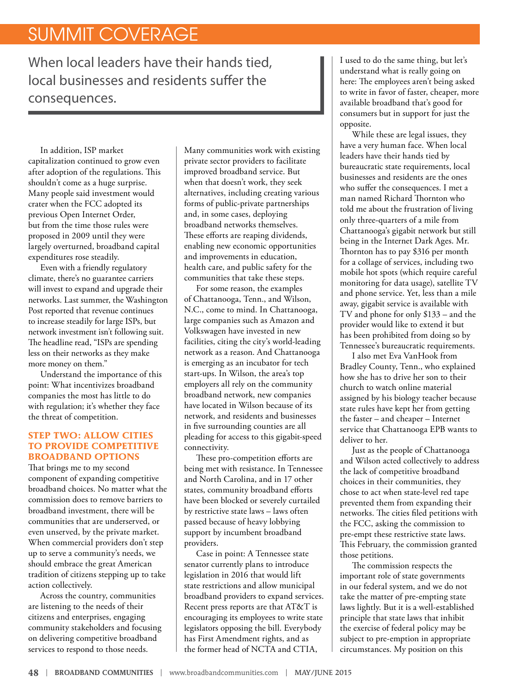## SUMMIT COVERAGE

When local leaders have their hands tied, local businesses and residents suffer the consequences.

In addition, ISP market capitalization continued to grow even after adoption of the regulations. This shouldn't come as a huge surprise. Many people said investment would crater when the FCC adopted its previous Open Internet Order, but from the time those rules were proposed in 2009 until they were largely overturned, broadband capital expenditures rose steadily.

Even with a friendly regulatory climate, there's no guarantee carriers will invest to expand and upgrade their networks. Last summer, the Washington Post reported that revenue continues to increase steadily for large ISPs, but network investment isn't following suit. The headline read, "ISPs are spending less on their networks as they make more money on them."

Understand the importance of this point: What incentivizes broadband companies the most has little to do with regulation; it's whether they face the threat of competition.

#### **STEP TWO: ALLOW CITIES TO PROVIDE COMPETITIVE BROADBAND OPTIONS**

That brings me to my second component of expanding competitive broadband choices. No matter what the commission does to remove barriers to broadband investment, there will be communities that are underserved, or even unserved, by the private market. When commercial providers don't step up to serve a community's needs, we should embrace the great American tradition of citizens stepping up to take action collectively.

Across the country, communities are listening to the needs of their citizens and enterprises, engaging community stakeholders and focusing on delivering competitive broadband services to respond to those needs.

Many communities work with existing private sector providers to facilitate improved broadband service. But when that doesn't work, they seek alternatives, including creating various forms of public-private partnerships and, in some cases, deploying broadband networks themselves. These efforts are reaping dividends, enabling new economic opportunities and improvements in education, health care, and public safety for the communities that take these steps.

For some reason, the examples of Chattanooga, Tenn., and Wilson, N.C., come to mind. In Chattanooga, large companies such as Amazon and Volkswagen have invested in new facilities, citing the city's world-leading network as a reason. And Chattanooga is emerging as an incubator for tech start-ups. In Wilson, the area's top employers all rely on the community broadband network, new companies have located in Wilson because of its network, and residents and businesses in five surrounding counties are all pleading for access to this gigabit-speed connectivity.

These pro-competition efforts are being met with resistance. In Tennessee and North Carolina, and in 17 other states, community broadband efforts have been blocked or severely curtailed by restrictive state laws – laws often passed because of heavy lobbying support by incumbent broadband providers.

Case in point: A Tennessee state senator currently plans to introduce legislation in 2016 that would lift state restrictions and allow municipal broadband providers to expand services. Recent press reports are that AT&T is encouraging its employees to write state legislators opposing the bill. Everybody has First Amendment rights, and as the former head of NCTA and CTIA,

I used to do the same thing, but let's understand what is really going on here: The employees aren't being asked to write in favor of faster, cheaper, more available broadband that's good for consumers but in support for just the opposite.

While these are legal issues, they have a very human face. When local leaders have their hands tied by bureaucratic state requirements, local businesses and residents are the ones who suffer the consequences. I met a man named Richard Thornton who told me about the frustration of living only three-quarters of a mile from Chattanooga's gigabit network but still being in the Internet Dark Ages. Mr. Thornton has to pay \$316 per month for a collage of services, including two mobile hot spots (which require careful monitoring for data usage), satellite TV and phone service. Yet, less than a mile away, gigabit service is available with TV and phone for only \$133 – and the provider would like to extend it but has been prohibited from doing so by Tennessee's bureaucratic requirements.

I also met Eva VanHook from Bradley County, Tenn., who explained how she has to drive her son to their church to watch online material assigned by his biology teacher because state rules have kept her from getting the faster – and cheaper – Internet service that Chattanooga EPB wants to deliver to her.

Just as the people of Chattanooga and Wilson acted collectively to address the lack of competitive broadband choices in their communities, they chose to act when state-level red tape prevented them from expanding their networks. The cities filed petitions with the FCC, asking the commission to pre-empt these restrictive state laws. This February, the commission granted those petitions.

The commission respects the important role of state governments in our federal system, and we do not take the matter of pre-empting state laws lightly. But it is a well-established principle that state laws that inhibit the exercise of federal policy may be subject to pre-emption in appropriate circumstances. My position on this